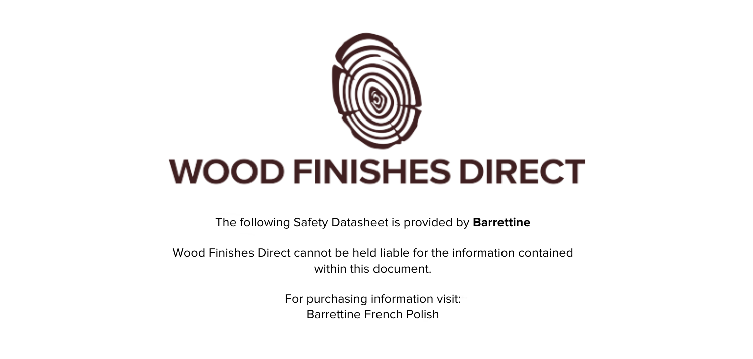

The following Safety Datasheet is provided by **Barrettine**

Wood Finishes Direct cannot be held liable for the information contained within this document.

> For purchasing information visit: [Barrettine French Polish](https://www.wood-finishes-direct.com/product/barrettine-french-polish)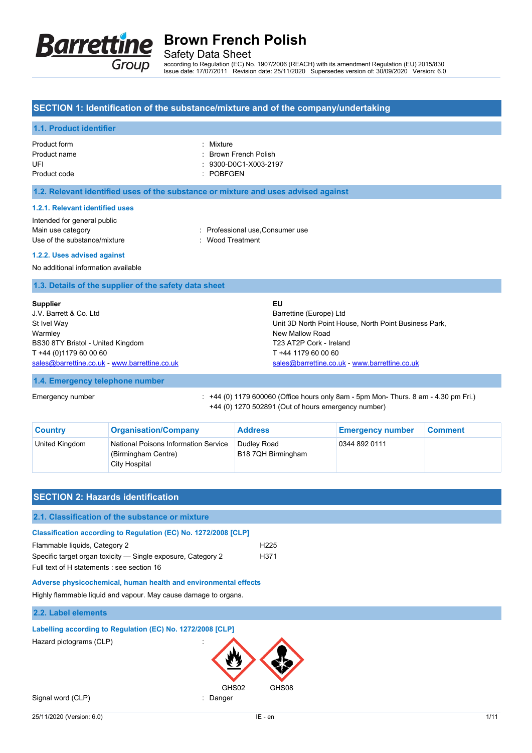

Safety Data Sheet

according to Regulation (EC) No. 1907/2006 (REACH) with its amendment Regulation (EU) 2015/830 Issue date: 17/07/2011 Revision date: 25/11/2020 Supersedes version of: 30/09/2020 Version: 6.0

### **SECTION 1: Identification of the substance/mixture and of the company/undertaking**

### **1.1. Product identifier**

| Product form |  |
|--------------|--|
| Product name |  |
| UFI          |  |
| Product code |  |

· Mixture : Brown French Polish

- $: 9300 D0C1 X003 2197$
- : POBFGEN

**1.2. Relevant identified uses of the substance or mixture and uses advised against**

#### **1.2.1. Relevant identified uses**

Intended for general public Main use category **Main use category : Professional use, Consumer use** Use of the substance/mixture in the substance with the substance of the substance of the substance of the substance of the substance of the substance of the substance of the substance of the substance of the substance of t

#### **1.2.2. Uses advised against**

No additional information available

### **1.3. Details of the supplier of the safety data sheet**

| <b>Supplier</b>                               | EU                                                    |
|-----------------------------------------------|-------------------------------------------------------|
| J.V. Barrett & Co. Ltd.                       | Barrettine (Europe) Ltd                               |
| St Ivel Way                                   | Unit 3D North Point House, North Point Business Park, |
| Warmley                                       | New Mallow Road                                       |
| BS30 8TY Bristol - United Kingdom             | T23 AT2P Cork - Ireland                               |
| T +44 (0)1179 60 00 60                        | T +44 1179 60 00 60                                   |
| sales@barrettine.co.uk - www.barrettine.co.uk | sales@barrettine.co.uk - www.barrettine.co.uk         |

### **1.4. Emergency telephone number**

Emergency number : +44 (0) 1179 600060 (Office hours only 8am - 5pm Mon- Thurs. 8 am - 4.30 pm Fri.) +44 (0) 1270 502891 (Out of hours emergency number)

| <b>Country</b> | <b>Organisation/Company</b>                                                  | <b>Address</b>                    | <b>Emergency number</b> | <b>Comment</b> |
|----------------|------------------------------------------------------------------------------|-----------------------------------|-------------------------|----------------|
| United Kingdom | National Poisons Information Service<br>(Birmingham Centre)<br>City Hospital | Dudley Road<br>B18 7QH Birmingham | 0344 892 0111           |                |

| <b>SECTION 2: Hazards identification</b>                                                                                                                                                                       |                          |
|----------------------------------------------------------------------------------------------------------------------------------------------------------------------------------------------------------------|--------------------------|
| 2.1. Classification of the substance or mixture                                                                                                                                                                |                          |
| Classification according to Regulation (EC) No. 1272/2008 [CLP]<br>Flammable liquids, Category 2<br>Specific target organ toxicity — Single exposure, Category 2<br>Full text of H statements : see section 16 | H <sub>225</sub><br>H371 |
| Adverse physicochemical, human health and environmental effects<br>Highly flammable liquid and vapour. May cause damage to organs.                                                                             |                          |
| 2.2. Label elements                                                                                                                                                                                            |                          |
| Labelling according to Regulation (EC) No. 1272/2008 [CLP]                                                                                                                                                     |                          |
| Hazard pictograms (CLP)                                                                                                                                                                                        |                          |
| GHS02<br>Signal word (CLP)<br>Danger                                                                                                                                                                           | GHS08                    |
| 25/11/2020 (Version: 6.0)                                                                                                                                                                                      | IE - en<br>1/11          |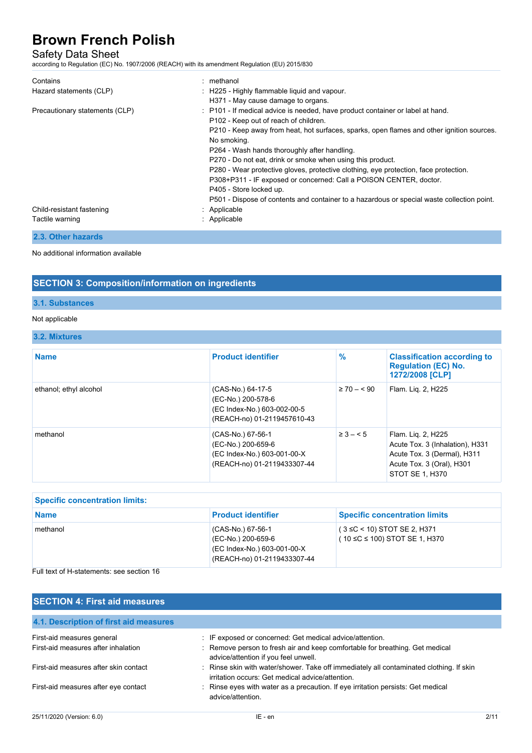## Safety Data Sheet

according to Regulation (EC) No. 1907/2006 (REACH) with its amendment Regulation (EU) 2015/830

| Contains                       | : methanol                                                                                 |
|--------------------------------|--------------------------------------------------------------------------------------------|
| Hazard statements (CLP)        | : H225 - Highly flammable liquid and vapour.                                               |
|                                | H371 - May cause damage to organs.                                                         |
| Precautionary statements (CLP) | : P101 - If medical advice is needed, have product container or label at hand.             |
|                                | P102 - Keep out of reach of children.                                                      |
|                                | P210 - Keep away from heat, hot surfaces, sparks, open flames and other ignition sources.  |
|                                | No smoking.                                                                                |
|                                | P264 - Wash hands thoroughly after handling.                                               |
|                                | P270 - Do not eat, drink or smoke when using this product.                                 |
|                                | P280 - Wear protective gloves, protective clothing, eye protection, face protection.       |
|                                | P308+P311 - IF exposed or concerned: Call a POISON CENTER, doctor.                         |
|                                | P405 - Store locked up.                                                                    |
|                                | P501 - Dispose of contents and container to a hazardous or special waste collection point. |
| Child-resistant fastening      | : Applicable                                                                               |
| Tactile warning                | : Applicable                                                                               |

## **2.3. Other hazards**

#### No additional information available

## **SECTION 3: Composition/information on ingredients**

### **3.1. Substances**

#### Not applicable

### **3.2. Mixtures**

| <b>Name</b>            | <b>Product identifier</b>                                                                             | $\%$            | <b>Classification according to</b><br><b>Regulation (EC) No.</b><br>1272/2008 [CLP]                                                  |
|------------------------|-------------------------------------------------------------------------------------------------------|-----------------|--------------------------------------------------------------------------------------------------------------------------------------|
| ethanol; ethyl alcohol | (CAS-No.) 64-17-5<br>(EC-No.) 200-578-6<br>(EC Index-No.) 603-002-00-5<br>(REACH-no) 01-2119457610-43 | $\geq 70 - 590$ | Flam. Lig. 2, H225                                                                                                                   |
| methanol               | (CAS-No.) 67-56-1<br>(EC-No.) 200-659-6<br>(EC Index-No.) 603-001-00-X<br>(REACH-no) 01-2119433307-44 | $\geq 3 - 5$    | Flam. Lig. 2, H225<br>Acute Tox. 3 (Inhalation), H331<br>Acute Tox. 3 (Dermal), H311<br>Acute Tox. 3 (Oral), H301<br>STOT SE 1. H370 |

| <b>Specific concentration limits:</b> |                                                                                                       |                                                                    |
|---------------------------------------|-------------------------------------------------------------------------------------------------------|--------------------------------------------------------------------|
| <b>Name</b>                           | <b>Product identifier</b>                                                                             | <b>Specific concentration limits</b>                               |
| methanol                              | (CAS-No.) 67-56-1<br>(EC-No.) 200-659-6<br>(EC Index-No.) 603-001-00-X<br>(REACH-no) 01-2119433307-44 | $(3 \leq C < 10)$ STOT SE 2, H371<br>(10 ≤C ≤ 100) STOT SE 1, H370 |

Full text of H-statements: see section 16

## **SECTION 4: First aid measures**

| 4.1. Description of first aid measures |                                                                                                                                             |
|----------------------------------------|---------------------------------------------------------------------------------------------------------------------------------------------|
| First-aid measures general             | : IF exposed or concerned: Get medical advice/attention.                                                                                    |
| First-aid measures after inhalation    | : Remove person to fresh air and keep comfortable for breathing. Get medical<br>advice/attention if you feel unwell.                        |
| First-aid measures after skin contact  | : Rinse skin with water/shower. Take off immediately all contaminated clothing. If skin<br>irritation occurs: Get medical advice/attention. |
| First-aid measures after eye contact   | : Rinse eyes with water as a precaution. If eye irritation persists: Get medical<br>advice/attention.                                       |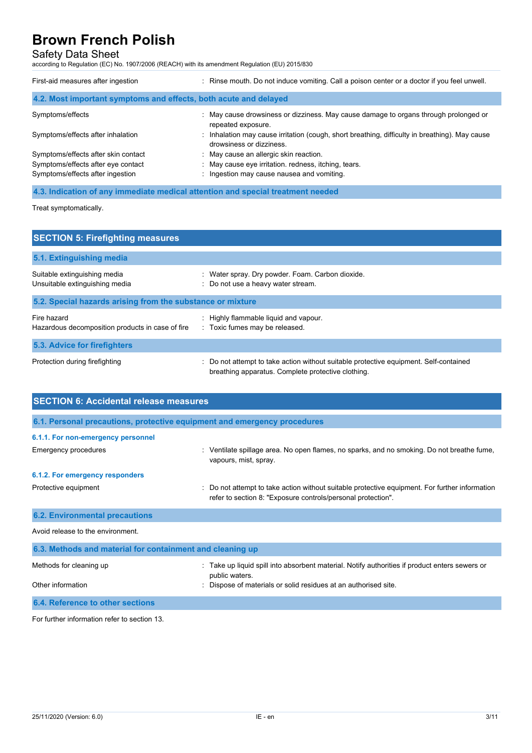## Safety Data Sheet

according to Regulation (EC) No. 1907/2006 (REACH) with its amendment Regulation (EU) 2015/830

| First-aid measures after ingestion                               | : Rinse mouth. Do not induce vomiting. Call a poison center or a doctor if you feel unwell.                                |
|------------------------------------------------------------------|----------------------------------------------------------------------------------------------------------------------------|
| 4.2. Most important symptoms and effects, both acute and delayed |                                                                                                                            |
| Symptoms/effects                                                 | : May cause drowsiness or dizziness. May cause damage to organs through prolonged or<br>repeated exposure.                 |
| Symptoms/effects after inhalation                                | : Inhalation may cause irritation (cough, short breathing, difficulty in breathing). May cause<br>drowsiness or dizziness. |
| Symptoms/effects after skin contact                              | : May cause an allergic skin reaction.                                                                                     |
| Symptoms/effects after eye contact                               | : May cause eye irritation. redness, itching, tears.                                                                       |
| Symptoms/effects after ingestion                                 | : Ingestion may cause nausea and vomiting.                                                                                 |

**4.3. Indication of any immediate medical attention and special treatment needed**

Treat symptomatically.

| <b>SECTION 5: Firefighting measures</b>                         |                                                                                                                                           |  |
|-----------------------------------------------------------------|-------------------------------------------------------------------------------------------------------------------------------------------|--|
| 5.1. Extinguishing media                                        |                                                                                                                                           |  |
| Suitable extinguishing media<br>Unsuitable extinguishing media  | : Water spray. Dry powder. Foam. Carbon dioxide.<br>: Do not use a heavy water stream.                                                    |  |
| 5.2. Special hazards arising from the substance or mixture      |                                                                                                                                           |  |
| Fire hazard<br>Hazardous decomposition products in case of fire | : Highly flammable liquid and vapour.<br>: Toxic fumes may be released.                                                                   |  |
| 5.3. Advice for firefighters                                    |                                                                                                                                           |  |
| Protection during firefighting                                  | Do not attempt to take action without suitable protective equipment. Self-contained<br>breathing apparatus. Complete protective clothing. |  |

| <b>SECTION 6: Accidental release measures</b>                            |                                                                                                                                                              |  |
|--------------------------------------------------------------------------|--------------------------------------------------------------------------------------------------------------------------------------------------------------|--|
| 6.1. Personal precautions, protective equipment and emergency procedures |                                                                                                                                                              |  |
| 6.1.1. For non-emergency personnel                                       |                                                                                                                                                              |  |
| Emergency procedures                                                     | Ventilate spillage area. No open flames, no sparks, and no smoking. Do not breathe fume,<br>vapours, mist, spray.                                            |  |
| 6.1.2. For emergency responders                                          |                                                                                                                                                              |  |
| Protective equipment                                                     | Do not attempt to take action without suitable protective equipment. For further information<br>refer to section 8: "Exposure controls/personal protection". |  |
| <b>6.2. Environmental precautions</b>                                    |                                                                                                                                                              |  |
| Avoid release to the environment.                                        |                                                                                                                                                              |  |
| 6.3. Methods and material for containment and cleaning up                |                                                                                                                                                              |  |
| Methods for cleaning up                                                  | Take up liquid spill into absorbent material. Notify authorities if product enters sewers or<br>public waters.                                               |  |
| Other information                                                        | Dispose of materials or solid residues at an authorised site.                                                                                                |  |
| 6.4. Reference to other sections                                         |                                                                                                                                                              |  |

For further information refer to section 13.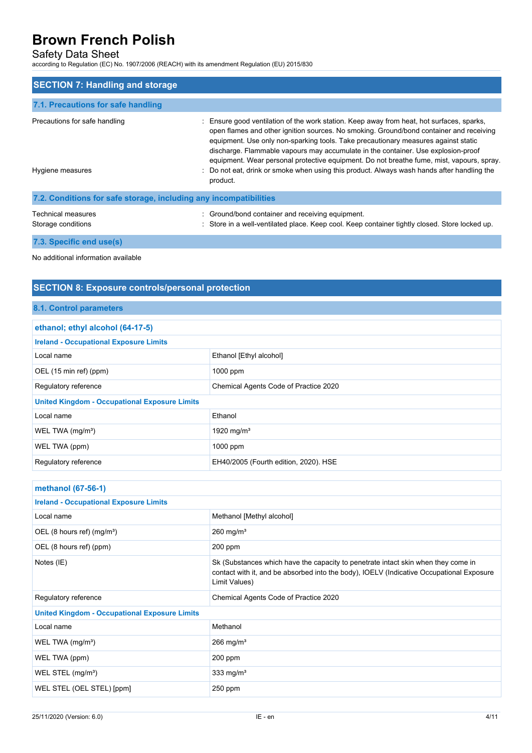## Safety Data Sheet

according to Regulation (EC) No. 1907/2006 (REACH) with its amendment Regulation (EU) 2015/830

| <b>SECTION 7: Handling and storage</b>                            |                                                                                                                                                                                                                                                                                                                                                                                                                                                                                                                                                                        |
|-------------------------------------------------------------------|------------------------------------------------------------------------------------------------------------------------------------------------------------------------------------------------------------------------------------------------------------------------------------------------------------------------------------------------------------------------------------------------------------------------------------------------------------------------------------------------------------------------------------------------------------------------|
| 7.1. Precautions for safe handling                                |                                                                                                                                                                                                                                                                                                                                                                                                                                                                                                                                                                        |
| Precautions for safe handling<br>Hygiene measures                 | : Ensure good ventilation of the work station. Keep away from heat, hot surfaces, sparks,<br>open flames and other ignition sources. No smoking. Ground/bond container and receiving<br>equipment. Use only non-sparking tools. Take precautionary measures against static<br>discharge. Flammable vapours may accumulate in the container. Use explosion-proof<br>equipment. Wear personal protective equipment. Do not breathe fume, mist, vapours, spray.<br>: Do not eat, drink or smoke when using this product. Always wash hands after handling the<br>product. |
| 7.2. Conditions for safe storage, including any incompatibilities |                                                                                                                                                                                                                                                                                                                                                                                                                                                                                                                                                                        |
| Technical measures<br>Storage conditions                          | : Ground/bond container and receiving equipment.<br>: Store in a well-ventilated place. Keep cool. Keep container tightly closed. Store locked up.                                                                                                                                                                                                                                                                                                                                                                                                                     |

**7.3. Specific end use(s)**

No additional information available

## **SECTION 8: Exposure controls/personal protection**

### **8.1. Control parameters**

| ethanol; ethyl alcohol (64-17-5)                              |                                       |  |
|---------------------------------------------------------------|---------------------------------------|--|
| <b>Ireland - Occupational Exposure Limits</b>                 |                                       |  |
| Local name                                                    | Ethanol [Ethyl alcohol]               |  |
| OEL (15 min ref) (ppm)                                        | 1000 ppm                              |  |
| Chemical Agents Code of Practice 2020<br>Regulatory reference |                                       |  |
| <b>United Kingdom - Occupational Exposure Limits</b>          |                                       |  |
| Local name                                                    | Ethanol                               |  |
| WEL TWA $(mg/m3)$                                             | 1920 mg/m <sup>3</sup>                |  |
| WEL TWA (ppm)                                                 | 1000 ppm                              |  |
| Regulatory reference                                          | EH40/2005 (Fourth edition, 2020). HSE |  |

| methanol (67-56-1)                                   |                                                                                                                                                                                                |  |
|------------------------------------------------------|------------------------------------------------------------------------------------------------------------------------------------------------------------------------------------------------|--|
| <b>Ireland - Occupational Exposure Limits</b>        |                                                                                                                                                                                                |  |
| Local name                                           | Methanol [Methyl alcohol]                                                                                                                                                                      |  |
| OEL (8 hours ref) $(mg/m3)$                          | $260$ mg/m <sup>3</sup>                                                                                                                                                                        |  |
| OEL (8 hours ref) (ppm)                              | $200$ ppm                                                                                                                                                                                      |  |
| Notes (IE)                                           | Sk (Substances which have the capacity to penetrate intact skin when they come in<br>contact with it, and be absorbed into the body), IOELV (Indicative Occupational Exposure<br>Limit Values) |  |
| Regulatory reference                                 | Chemical Agents Code of Practice 2020                                                                                                                                                          |  |
| <b>United Kingdom - Occupational Exposure Limits</b> |                                                                                                                                                                                                |  |
| Local name                                           | Methanol                                                                                                                                                                                       |  |
| WEL TWA $(mg/m3)$                                    | $266$ mg/m <sup>3</sup>                                                                                                                                                                        |  |
| WEL TWA (ppm)                                        | $200$ ppm                                                                                                                                                                                      |  |
| WEL STEL (mg/m <sup>3</sup> )                        | 333 mg/ $m3$                                                                                                                                                                                   |  |
| WEL STEL (OEL STEL) [ppm]                            | 250 ppm                                                                                                                                                                                        |  |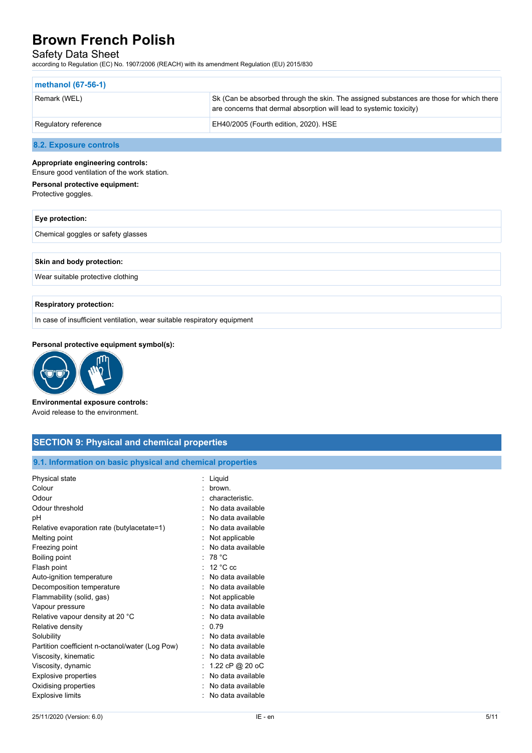### Safety Data Sheet

according to Regulation (EC) No. 1907/2006 (REACH) with its amendment Regulation (EU) 2015/830

| methanol (67-56-1)   |                                                                                                                                                                |
|----------------------|----------------------------------------------------------------------------------------------------------------------------------------------------------------|
| Remark (WEL)         | Sk (Can be absorbed through the skin. The assigned substances are those for which there<br>are concerns that dermal absorption will lead to systemic toxicity) |
| Regulatory reference | EH40/2005 (Fourth edition, 2020). HSE                                                                                                                          |

**8.2. Exposure controls**

#### **Appropriate engineering controls:**

Ensure good ventilation of the work station.

| Personal protective equipment: |  |
|--------------------------------|--|
| Protective goggles.            |  |

| Eye protection:                    |  |
|------------------------------------|--|
| Chemical goggles or safety glasses |  |
|                                    |  |
| Skin and body protection:          |  |

Wear suitable protective clothing

#### **Respiratory protection:**

In case of insufficient ventilation, wear suitable respiratory equipment

Explosive limits **Explosive limits Explosive limits Explosive limits EXPLOSIVE 2018** 

### **Personal protective equipment symbol(s):**



**Environmental exposure controls:** Avoid release to the environment.

| <b>SECTION 9: Physical and chemical properties</b>         |                   |  |
|------------------------------------------------------------|-------------------|--|
| 9.1. Information on basic physical and chemical properties |                   |  |
| Physical state                                             | : Liquid          |  |
| Colour                                                     | brown.            |  |
| Odour                                                      | characteristic.   |  |
| Odour threshold                                            | No data available |  |
| рH                                                         | No data available |  |
| Relative evaporation rate (butylacetate=1)                 | No data available |  |
| Melting point                                              | Not applicable    |  |
| Freezing point                                             | No data available |  |
| Boiling point                                              | : 78 °C           |  |
| Flash point                                                | $12 °C$ cc        |  |
| Auto-ignition temperature                                  | No data available |  |
| Decomposition temperature                                  | No data available |  |
| Flammability (solid, gas)                                  | Not applicable    |  |
| Vapour pressure                                            | No data available |  |
| Relative vapour density at 20 °C                           | No data available |  |
| Relative density                                           | 0.79<br>÷         |  |
| Solubility                                                 | No data available |  |
| Partition coefficient n-octanol/water (Log Pow)            | No data available |  |
| Viscosity, kinematic                                       | No data available |  |
| Viscosity, dynamic                                         | 1.22 cP @ 20 oC   |  |
| Explosive properties                                       | No data available |  |
| Oxidising properties                                       | No data available |  |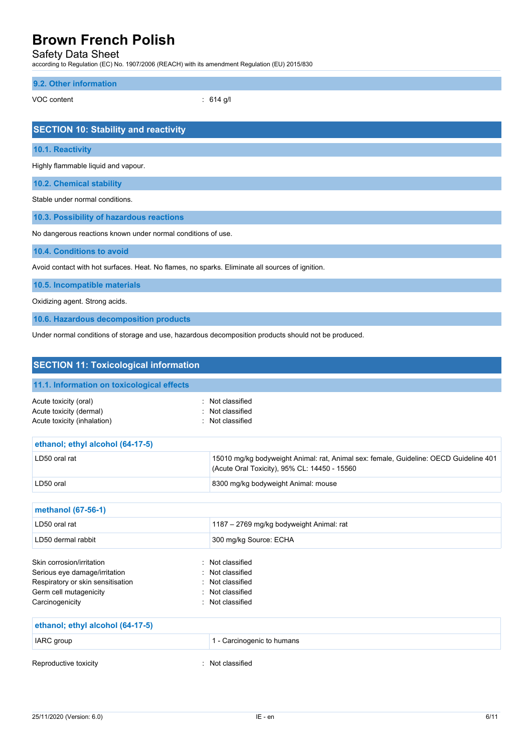Safety Data Sheet

according to Regulation (EC) No. 1907/2006 (REACH) with its amendment Regulation (EU) 2015/830

### **9.2. Other information**

VOC content : 614 g/l

| <b>SECTION 10: Stability and reactivity</b>                                                          |
|------------------------------------------------------------------------------------------------------|
| 10.1. Reactivity                                                                                     |
| Highly flammable liquid and vapour.                                                                  |
| <b>10.2. Chemical stability</b>                                                                      |
| Stable under normal conditions                                                                       |
| 10.3. Possibility of hazardous reactions                                                             |
| No dangerous reactions known under normal conditions of use.                                         |
| 10.4. Conditions to avoid                                                                            |
| Avoid contact with hot surfaces. Heat. No flames, no sparks. Eliminate all sources of ignition.      |
| 10.5. Incompatible materials                                                                         |
| Oxidizing agent. Strong acids.                                                                       |
| 10.6. Hazardous decomposition products                                                               |
| Under normal conditions of storage and use, hazardous decomposition products should not be produced. |

| <b>SECTION 11: Toxicological information</b>                                                                                                 |                                                                                                                                       |
|----------------------------------------------------------------------------------------------------------------------------------------------|---------------------------------------------------------------------------------------------------------------------------------------|
| 11.1. Information on toxicological effects                                                                                                   |                                                                                                                                       |
| Acute toxicity (oral)<br>Acute toxicity (dermal)<br>Acute toxicity (inhalation)                                                              | : Not classified<br>: Not classified<br>Not classified                                                                                |
| ethanol; ethyl alcohol (64-17-5)                                                                                                             |                                                                                                                                       |
| LD50 oral rat                                                                                                                                | 15010 mg/kg bodyweight Animal: rat, Animal sex: female, Guideline: OECD Guideline 401<br>(Acute Oral Toxicity), 95% CL: 14450 - 15560 |
| LD50 oral                                                                                                                                    | 8300 mg/kg bodyweight Animal: mouse                                                                                                   |
| methanol (67-56-1)                                                                                                                           |                                                                                                                                       |
| LD50 oral rat                                                                                                                                | 1187 - 2769 mg/kg bodyweight Animal: rat                                                                                              |
| LD50 dermal rabbit                                                                                                                           | 300 mg/kg Source: ECHA                                                                                                                |
| Skin corrosion/irritation<br>Serious eye damage/irritation<br>Respiratory or skin sensitisation<br>Germ cell mutagenicity<br>Carcinogenicity | Not classified<br>Not classified<br>Not classified<br>Not classified<br>Not classified                                                |
| ethanol; ethyl alcohol (64-17-5)                                                                                                             |                                                                                                                                       |
| <b>IARC</b> group                                                                                                                            | 1 - Carcinogenic to humans                                                                                                            |

Reproductive toxicity **in the contract of the CO** contract in the Reproductive toxicity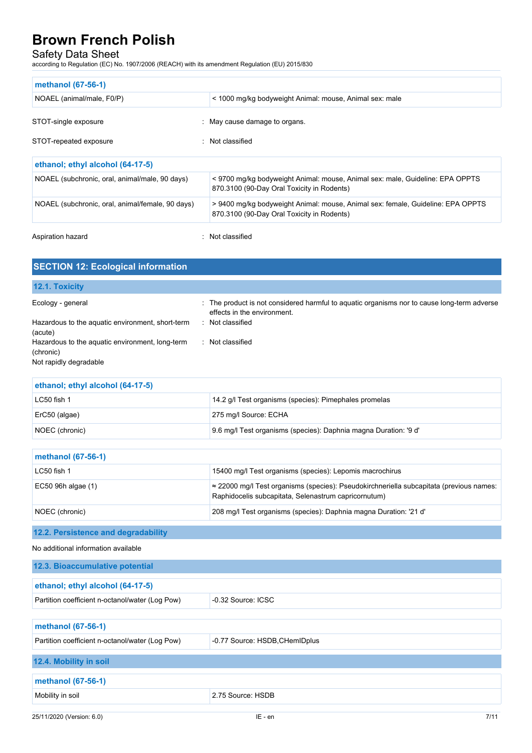## Safety Data Sheet

according to Regulation (EC) No. 1907/2006 (REACH) with its amendment Regulation (EU) 2015/830

| methanol (67-56-1)                               |                                                                                                                               |  |
|--------------------------------------------------|-------------------------------------------------------------------------------------------------------------------------------|--|
| NOAEL (animal/male, F0/P)                        | < 1000 mg/kg bodyweight Animal: mouse, Animal sex: male                                                                       |  |
| STOT-single exposure                             | : May cause damage to organs.                                                                                                 |  |
| STOT-repeated exposure                           | Not classified                                                                                                                |  |
| ethanol; ethyl alcohol (64-17-5)                 |                                                                                                                               |  |
| NOAEL (subchronic, oral, animal/male, 90 days)   | <9700 mg/kg bodyweight Animal: mouse, Animal sex: male, Guideline: EPA OPPTS<br>870.3100 (90-Day Oral Toxicity in Rodents)    |  |
| NOAEL (subchronic, oral, animal/female, 90 days) | > 9400 mg/kg bodyweight Animal: mouse, Animal sex: female, Guideline: EPA OPPTS<br>870.3100 (90-Day Oral Toxicity in Rodents) |  |

Aspiration hazard **in the set of the set of the set of the set of the set of the set of the set of the set of the set of the set of the set of the set of the set of the set of the set of the set of the set of the set of th** 

| <b>SECTION 12: Ecological information</b>                                              |                                                                                                                            |
|----------------------------------------------------------------------------------------|----------------------------------------------------------------------------------------------------------------------------|
| 12.1. Toxicity                                                                         |                                                                                                                            |
| Ecology - general                                                                      | : The product is not considered harmful to aquatic organisms nor to cause long-term adverse<br>effects in the environment. |
| Hazardous to the aquatic environment, short-term<br>(acute)                            | : Not classified                                                                                                           |
| Hazardous to the aquatic environment, long-term<br>(chronic)<br>Not rapidly degradable | Not classified                                                                                                             |

| ethanol; ethyl alcohol (64-17-5) |                                                                                                                                                         |
|----------------------------------|---------------------------------------------------------------------------------------------------------------------------------------------------------|
| $LC50$ fish 1                    | 14.2 g/l Test organisms (species): Pimephales promelas                                                                                                  |
| ErC50 (algae)                    | 275 mg/l Source: ECHA                                                                                                                                   |
| NOEC (chronic)                   | 9.6 mg/l Test organisms (species): Daphnia magna Duration: '9 d'                                                                                        |
|                                  |                                                                                                                                                         |
| methanol (67-56-1)               |                                                                                                                                                         |
| $LC50$ fish 1                    | 15400 mg/l Test organisms (species): Lepomis macrochirus                                                                                                |
| EC50 96h algae (1)               | $\approx$ 22000 mg/l Test organisms (species): Pseudokirchneriella subcapitata (previous names:<br>Raphidocelis subcapitata, Selenastrum capricornutum) |

NOEC (chronic) 208 mg/l Test organisms (species): Daphnia magna Duration: '21 d'

## **12.2. Persistence and degradability**

No additional information available

| 12.3. Bioaccumulative potential                 |                                |  |
|-------------------------------------------------|--------------------------------|--|
| ethanol; ethyl alcohol (64-17-5)                |                                |  |
| Partition coefficient n-octanol/water (Log Pow) | -0.32 Source: ICSC             |  |
|                                                 |                                |  |
| methanol (67-56-1)                              |                                |  |
| Partition coefficient n-octanol/water (Log Pow) | -0.77 Source: HSDB, CHemIDplus |  |
| 12.4. Mobility in soil                          |                                |  |
| methanol (67-56-1)                              |                                |  |
| Mobility in soil                                | 2.75 Source: HSDB              |  |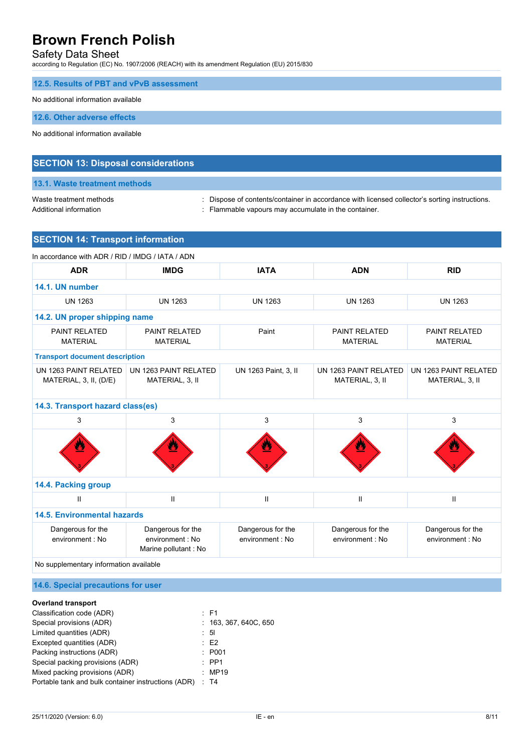## Safety Data Sheet

according to Regulation (EC) No. 1907/2006 (REACH) with its amendment Regulation (EU) 2015/830

|  |  | 12.5. Results of PBT and vPvB assessment |
|--|--|------------------------------------------|
|--|--|------------------------------------------|

#### No additional information available

**12.6. Other adverse effects**

No additional information available

### **SECTION 13: Disposal considerations**

### **13.1. Waste treatment methods**

Waste treatment methods : Dispose of contents/container in accordance with licensed collector's sorting instructions. Additional information **interest in the container** : Flammable vapours may accumulate in the container.

## **SECTION 14: Transport information**

| In accordance with ADR / RID / IMDG / IATA / ADN |                                                               |                                      |                                          |                                          |  |  |
|--------------------------------------------------|---------------------------------------------------------------|--------------------------------------|------------------------------------------|------------------------------------------|--|--|
| <b>ADR</b>                                       | <b>IMDG</b>                                                   | <b>IATA</b>                          | <b>ADN</b>                               | <b>RID</b>                               |  |  |
| 14.1. UN number                                  |                                                               |                                      |                                          |                                          |  |  |
| <b>UN 1263</b>                                   | <b>UN 1263</b>                                                | <b>UN 1263</b>                       | <b>UN 1263</b>                           | <b>UN 1263</b>                           |  |  |
| 14.2. UN proper shipping name                    |                                                               |                                      |                                          |                                          |  |  |
| PAINT RELATED<br><b>MATERIAL</b>                 | <b>PAINT RELATED</b><br><b>MATERIAL</b>                       | Paint                                | <b>PAINT RELATED</b><br><b>MATERIAL</b>  | <b>PAINT RELATED</b><br><b>MATERIAL</b>  |  |  |
| <b>Transport document description</b>            |                                                               |                                      |                                          |                                          |  |  |
| UN 1263 PAINT RELATED<br>MATERIAL, 3, II, (D/E)  | UN 1263 PAINT RELATED<br>MATERIAL, 3, II                      | UN 1263 Paint, 3, II                 | UN 1263 PAINT RELATED<br>MATERIAL, 3, II | UN 1263 PAINT RELATED<br>MATERIAL, 3, II |  |  |
|                                                  | 14.3. Transport hazard class(es)                              |                                      |                                          |                                          |  |  |
| 3                                                | 3                                                             | 3                                    | 3                                        | 3                                        |  |  |
|                                                  | J.                                                            |                                      | Δ                                        |                                          |  |  |
| 14.4. Packing group                              |                                                               |                                      |                                          |                                          |  |  |
| $\mathbf{I}$                                     | $\mathbf{H}$                                                  | $\mathbf{I}$                         | $\mathbf{H}$                             | $\mathbf{H}$                             |  |  |
| 14.5. Environmental hazards                      |                                                               |                                      |                                          |                                          |  |  |
| Dangerous for the<br>environment : No            | Dangerous for the<br>environment : No<br>Marine pollutant: No | Dangerous for the<br>environment: No | Dangerous for the<br>environment : No    | Dangerous for the<br>environment : No    |  |  |
| No supplementary information available           |                                                               |                                      |                                          |                                          |  |  |

### **14.6. Special precautions for user**

### **Overland transport**

| Classification code (ADR)                           | $\pm$ F1              |
|-----------------------------------------------------|-----------------------|
| Special provisions (ADR)                            | : 163, 367, 640C, 650 |
| Limited quantities (ADR)                            | : 51                  |
| Excepted quantities (ADR)                           | E2                    |
| Packing instructions (ADR)                          | : P001                |
| Special packing provisions (ADR)                    | $\therefore$ PP1      |
| Mixed packing provisions (ADR)                      | $\therefore$ MP19     |
| Portable tank and bulk container instructions (ADR) | $\therefore$ T4       |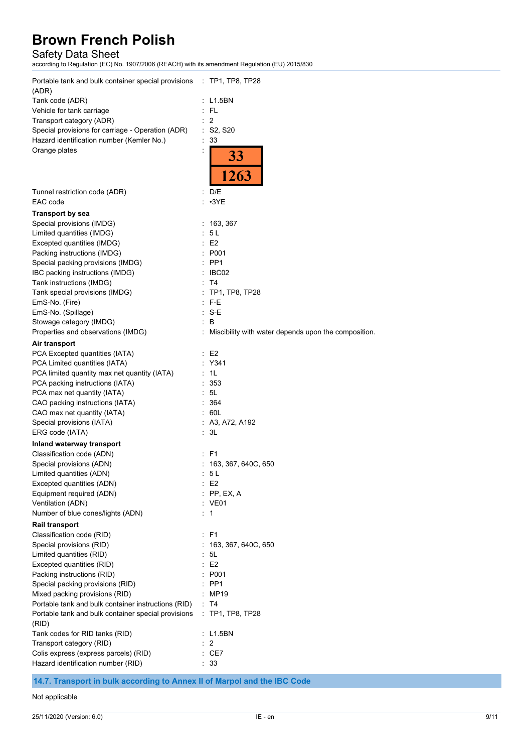## Safety Data Sheet

according to Regulation (EC) No. 1907/2006 (REACH) with its amendment Regulation (EU) 2015/830

| Portable tank and bulk container special provisions : TP1, TP8, TP28<br>(ADR) |                                                        |
|-------------------------------------------------------------------------------|--------------------------------------------------------|
| Tank code (ADR)                                                               | : L1.5BN                                               |
| Vehicle for tank carriage                                                     | - FL                                                   |
| Transport category (ADR)                                                      | : 2                                                    |
| Special provisions for carriage - Operation (ADR)                             | : S2, S20                                              |
| Hazard identification number (Kemler No.)                                     | : 33                                                   |
| Orange plates                                                                 | 33<br>1263                                             |
| Tunnel restriction code (ADR)<br>EAC code                                     | : $D/E$<br>$\cdot$ 3YE                                 |
| <b>Transport by sea</b>                                                       |                                                        |
| Special provisions (IMDG)                                                     | : 163, 367                                             |
| Limited quantities (IMDG)                                                     | 5 L                                                    |
| Excepted quantities (IMDG)                                                    | : E2                                                   |
| Packing instructions (IMDG)                                                   | P001                                                   |
| Special packing provisions (IMDG)                                             | PP <sub>1</sub>                                        |
| IBC packing instructions (IMDG)                                               | : IBC02                                                |
| Tank instructions (IMDG)                                                      | T4                                                     |
| Tank special provisions (IMDG)                                                | TP1, TP8, TP28                                         |
| EmS-No. (Fire)                                                                | F-E                                                    |
| EmS-No. (Spillage)                                                            | $: S-E$                                                |
| Stowage category (IMDG)                                                       | B                                                      |
| Properties and observations (IMDG)                                            | : Miscibility with water depends upon the composition. |
| Air transport                                                                 |                                                        |
| PCA Excepted quantities (IATA)                                                | E2                                                     |
| PCA Limited quantities (IATA)                                                 | : Y341                                                 |
| PCA limited quantity max net quantity (IATA)                                  | - 1L                                                   |
| PCA packing instructions (IATA)                                               | : 353                                                  |
| PCA max net quantity (IATA)                                                   | : 5L<br>364                                            |
| CAO packing instructions (IATA)<br>CAO max net quantity (IATA)                | : 60L                                                  |
| Special provisions (IATA)                                                     | : A3, A72, A192                                        |
| ERG code (IATA)                                                               | : 3L                                                   |
| Inland waterway transport                                                     |                                                        |
| Classification code (ADN)                                                     | : F1                                                   |
| Special provisions (ADN)                                                      | : 163, 367, 640C, 650                                  |
| Limited quantities (ADN)                                                      | 5 <sub>L</sub>                                         |
| Excepted quantities (ADN)                                                     | E <sub>2</sub>                                         |
| Equipment required (ADN)                                                      | PP, EX, A                                              |
| Ventilation (ADN)                                                             | : VE01                                                 |
| Number of blue cones/lights (ADN)                                             | : 1                                                    |
| Rail transport                                                                |                                                        |
| Classification code (RID)                                                     | : F1                                                   |
| Special provisions (RID)                                                      | 163, 367, 640C, 650                                    |
| Limited quantities (RID)                                                      | 5L                                                     |
| Excepted quantities (RID)                                                     | E <sub>2</sub>                                         |
| Packing instructions (RID)                                                    | P001                                                   |
| Special packing provisions (RID)                                              | PP <sub>1</sub>                                        |
| Mixed packing provisions (RID)                                                | MP19                                                   |
| Portable tank and bulk container instructions (RID)                           | : T4<br>$:$ TP1, TP8, TP28                             |
| Portable tank and bulk container special provisions<br>(RID)                  |                                                        |
| Tank codes for RID tanks (RID)                                                | : L1.5BN                                               |
| Transport category (RID)                                                      | $\overline{2}$                                         |
| Colis express (express parcels) (RID)<br>Hazard identification number (RID)   | : CE7<br>: 33                                          |
|                                                                               |                                                        |

**14.7. Transport in bulk according to Annex II of Marpol and the IBC Code**

#### Not applicable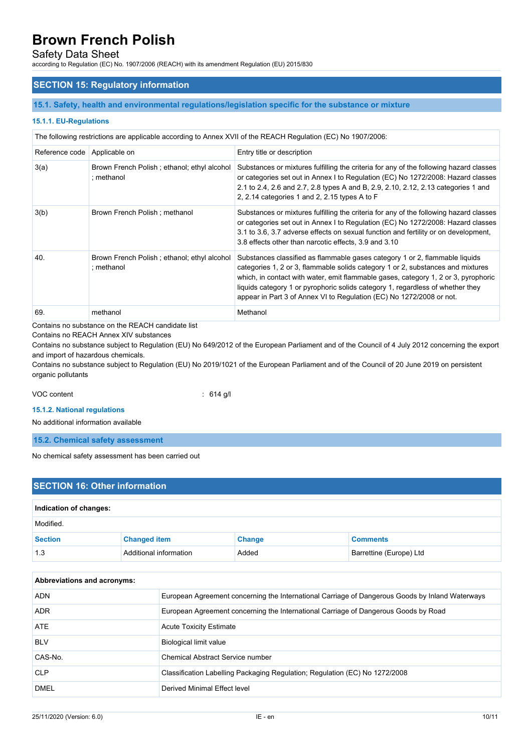## Safety Data Sheet

according to Regulation (EC) No. 1907/2006 (REACH) with its amendment Regulation (EU) 2015/830

### **SECTION 15: Regulatory information**

#### **15.1. Safety, health and environmental regulations/legislation specific for the substance or mixture**

#### **15.1.1. EU-Regulations**

The following restrictions are applicable according to Annex XVII of the REACH Regulation (EC) No 1907/2006:

| Reference code   Applicable on |                                                           | Entry title or description                                                                                                                                                                                                                                                                                                                                                                                     |
|--------------------------------|-----------------------------------------------------------|----------------------------------------------------------------------------------------------------------------------------------------------------------------------------------------------------------------------------------------------------------------------------------------------------------------------------------------------------------------------------------------------------------------|
| 3(a)                           | Brown French Polish; ethanol; ethyl alcohol<br>: methanol | Substances or mixtures fulfilling the criteria for any of the following hazard classes<br>or categories set out in Annex I to Regulation (EC) No 1272/2008: Hazard classes<br>2.1 to 2.4, 2.6 and 2.7, 2.8 types A and B, 2.9, 2.10, 2.12, 2.13 categories 1 and<br>2, 2.14 categories 1 and 2, 2.15 types A to F                                                                                              |
| 3(b)                           | Brown French Polish; methanol                             | Substances or mixtures fulfilling the criteria for any of the following hazard classes<br>or categories set out in Annex I to Regulation (EC) No 1272/2008: Hazard classes<br>3.1 to 3.6, 3.7 adverse effects on sexual function and fertility or on development,<br>3.8 effects other than narcotic effects, 3.9 and 3.10                                                                                     |
| 40.                            | Brown French Polish; ethanol; ethyl alcohol<br>: methanol | Substances classified as flammable gases category 1 or 2, flammable liquids<br>categories 1, 2 or 3, flammable solids category 1 or 2, substances and mixtures<br>which, in contact with water, emit flammable gases, category 1, 2 or 3, pyrophoric<br>liquids category 1 or pyrophoric solids category 1, regardless of whether they<br>appear in Part 3 of Annex VI to Regulation (EC) No 1272/2008 or not. |
| 69.                            | methanol                                                  | Methanol                                                                                                                                                                                                                                                                                                                                                                                                       |

Contains no substance on the REACH candidate list

Contains no REACH Annex XIV substances

Contains no substance subject to Regulation (EU) No 649/2012 of the European Parliament and of the Council of 4 July 2012 concerning the export and import of hazardous chemicals.

Contains no substance subject to Regulation (EU) No 2019/1021 of the European Parliament and of the Council of 20 June 2019 on persistent organic pollutants

VOC content : 614 g/l

**15.1.2. National regulations**

No additional information available

**15.2. Chemical safety assessment**

No chemical safety assessment has been carried out

## **SECTION 16: Other information Indication of changes:** Modified. **Section Changed item Change Comments** 1.3 Additional information Added Barrettine (Europe) Ltd

| <b>Abbreviations and acronyms:</b> |                                                                                                 |  |  |  |
|------------------------------------|-------------------------------------------------------------------------------------------------|--|--|--|
| <b>ADN</b>                         | European Agreement concerning the International Carriage of Dangerous Goods by Inland Waterways |  |  |  |
| <b>ADR</b>                         | European Agreement concerning the International Carriage of Dangerous Goods by Road             |  |  |  |
| ATE                                | <b>Acute Toxicity Estimate</b>                                                                  |  |  |  |
| <b>BLV</b>                         | <b>Biological limit value</b>                                                                   |  |  |  |
| CAS-No.                            | Chemical Abstract Service number                                                                |  |  |  |
| <b>CLP</b>                         | Classification Labelling Packaging Regulation; Regulation (EC) No 1272/2008                     |  |  |  |
| <b>DMEL</b>                        | Derived Minimal Effect level                                                                    |  |  |  |